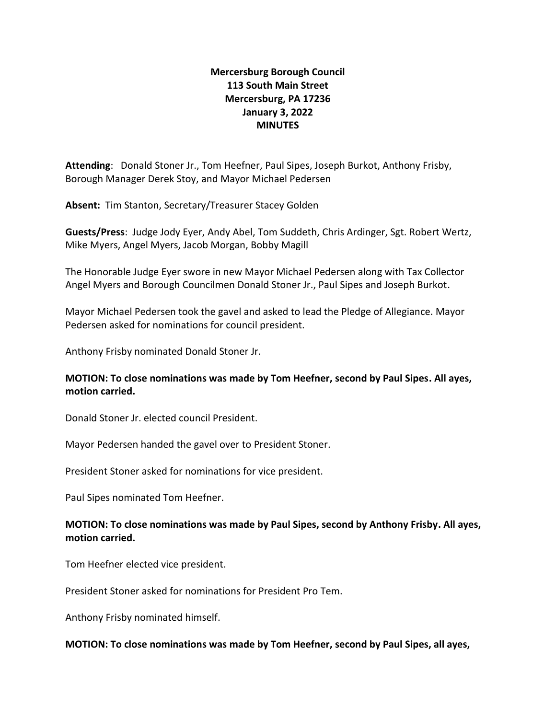# **Mercersburg Borough Council 113 South Main Street Mercersburg, PA 17236 January 3, 2022 MINUTES**

**Attending**: Donald Stoner Jr., Tom Heefner, Paul Sipes, Joseph Burkot, Anthony Frisby, Borough Manager Derek Stoy, and Mayor Michael Pedersen

**Absent:** Tim Stanton, Secretary/Treasurer Stacey Golden

**Guests/Press**: Judge Jody Eyer, Andy Abel, Tom Suddeth, Chris Ardinger, Sgt. Robert Wertz, Mike Myers, Angel Myers, Jacob Morgan, Bobby Magill

The Honorable Judge Eyer swore in new Mayor Michael Pedersen along with Tax Collector Angel Myers and Borough Councilmen Donald Stoner Jr., Paul Sipes and Joseph Burkot.

Mayor Michael Pedersen took the gavel and asked to lead the Pledge of Allegiance. Mayor Pedersen asked for nominations for council president.

Anthony Frisby nominated Donald Stoner Jr.

### **MOTION: To close nominations was made by Tom Heefner, second by Paul Sipes. All ayes, motion carried.**

Donald Stoner Jr. elected council President.

Mayor Pedersen handed the gavel over to President Stoner.

President Stoner asked for nominations for vice president.

Paul Sipes nominated Tom Heefner.

### **MOTION: To close nominations was made by Paul Sipes, second by Anthony Frisby. All ayes, motion carried.**

Tom Heefner elected vice president.

President Stoner asked for nominations for President Pro Tem.

Anthony Frisby nominated himself.

### **MOTION: To close nominations was made by Tom Heefner, second by Paul Sipes, all ayes,**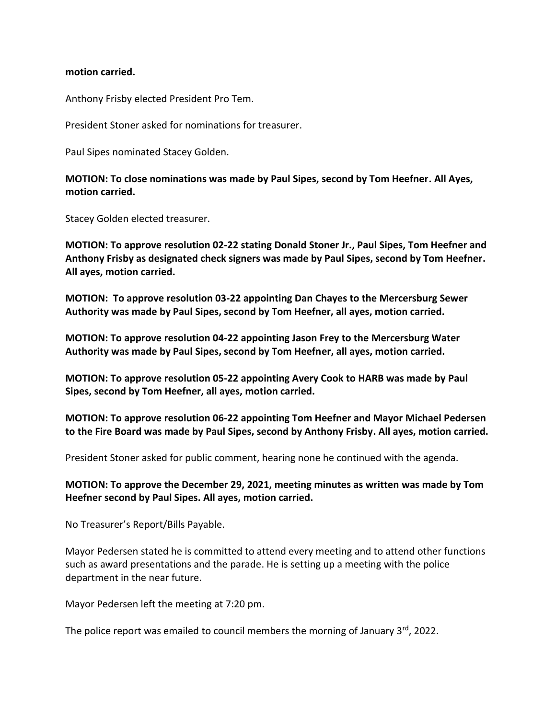#### **motion carried.**

Anthony Frisby elected President Pro Tem.

President Stoner asked for nominations for treasurer.

Paul Sipes nominated Stacey Golden.

**MOTION: To close nominations was made by Paul Sipes, second by Tom Heefner. All Ayes, motion carried.**

Stacey Golden elected treasurer.

**MOTION: To approve resolution 02-22 stating Donald Stoner Jr., Paul Sipes, Tom Heefner and Anthony Frisby as designated check signers was made by Paul Sipes, second by Tom Heefner. All ayes, motion carried.**

**MOTION: To approve resolution 03-22 appointing Dan Chayes to the Mercersburg Sewer Authority was made by Paul Sipes, second by Tom Heefner, all ayes, motion carried.**

**MOTION: To approve resolution 04-22 appointing Jason Frey to the Mercersburg Water Authority was made by Paul Sipes, second by Tom Heefner, all ayes, motion carried.**

**MOTION: To approve resolution 05-22 appointing Avery Cook to HARB was made by Paul Sipes, second by Tom Heefner, all ayes, motion carried.**

**MOTION: To approve resolution 06-22 appointing Tom Heefner and Mayor Michael Pedersen to the Fire Board was made by Paul Sipes, second by Anthony Frisby. All ayes, motion carried.**

President Stoner asked for public comment, hearing none he continued with the agenda.

**MOTION: To approve the December 29, 2021, meeting minutes as written was made by Tom Heefner second by Paul Sipes. All ayes, motion carried.**

No Treasurer's Report/Bills Payable.

Mayor Pedersen stated he is committed to attend every meeting and to attend other functions such as award presentations and the parade. He is setting up a meeting with the police department in the near future.

Mayor Pedersen left the meeting at 7:20 pm.

The police report was emailed to council members the morning of January 3rd, 2022.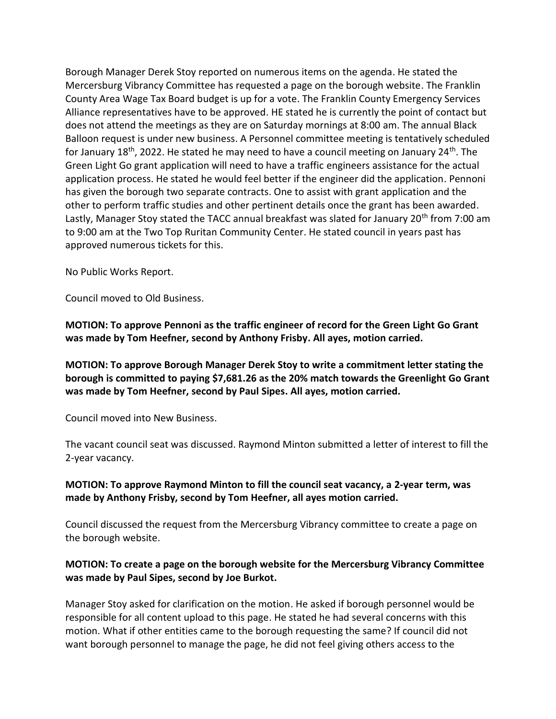Borough Manager Derek Stoy reported on numerous items on the agenda. He stated the Mercersburg Vibrancy Committee has requested a page on the borough website. The Franklin County Area Wage Tax Board budget is up for a vote. The Franklin County Emergency Services Alliance representatives have to be approved. HE stated he is currently the point of contact but does not attend the meetings as they are on Saturday mornings at 8:00 am. The annual Black Balloon request is under new business. A Personnel committee meeting is tentatively scheduled for January 18<sup>th</sup>, 2022. He stated he may need to have a council meeting on January 24<sup>th</sup>. The Green Light Go grant application will need to have a traffic engineers assistance for the actual application process. He stated he would feel better if the engineer did the application. Pennoni has given the borough two separate contracts. One to assist with grant application and the other to perform traffic studies and other pertinent details once the grant has been awarded. Lastly, Manager Stoy stated the TACC annual breakfast was slated for January 20<sup>th</sup> from 7:00 am to 9:00 am at the Two Top Ruritan Community Center. He stated council in years past has approved numerous tickets for this.

No Public Works Report.

Council moved to Old Business.

**MOTION: To approve Pennoni as the traffic engineer of record for the Green Light Go Grant was made by Tom Heefner, second by Anthony Frisby. All ayes, motion carried.**

**MOTION: To approve Borough Manager Derek Stoy to write a commitment letter stating the borough is committed to paying \$7,681.26 as the 20% match towards the Greenlight Go Grant was made by Tom Heefner, second by Paul Sipes. All ayes, motion carried.**

Council moved into New Business.

The vacant council seat was discussed. Raymond Minton submitted a letter of interest to fill the 2-year vacancy.

**MOTION: To approve Raymond Minton to fill the council seat vacancy, a 2-year term, was made by Anthony Frisby, second by Tom Heefner, all ayes motion carried.**

Council discussed the request from the Mercersburg Vibrancy committee to create a page on the borough website.

### **MOTION: To create a page on the borough website for the Mercersburg Vibrancy Committee was made by Paul Sipes, second by Joe Burkot.**

Manager Stoy asked for clarification on the motion. He asked if borough personnel would be responsible for all content upload to this page. He stated he had several concerns with this motion. What if other entities came to the borough requesting the same? If council did not want borough personnel to manage the page, he did not feel giving others access to the